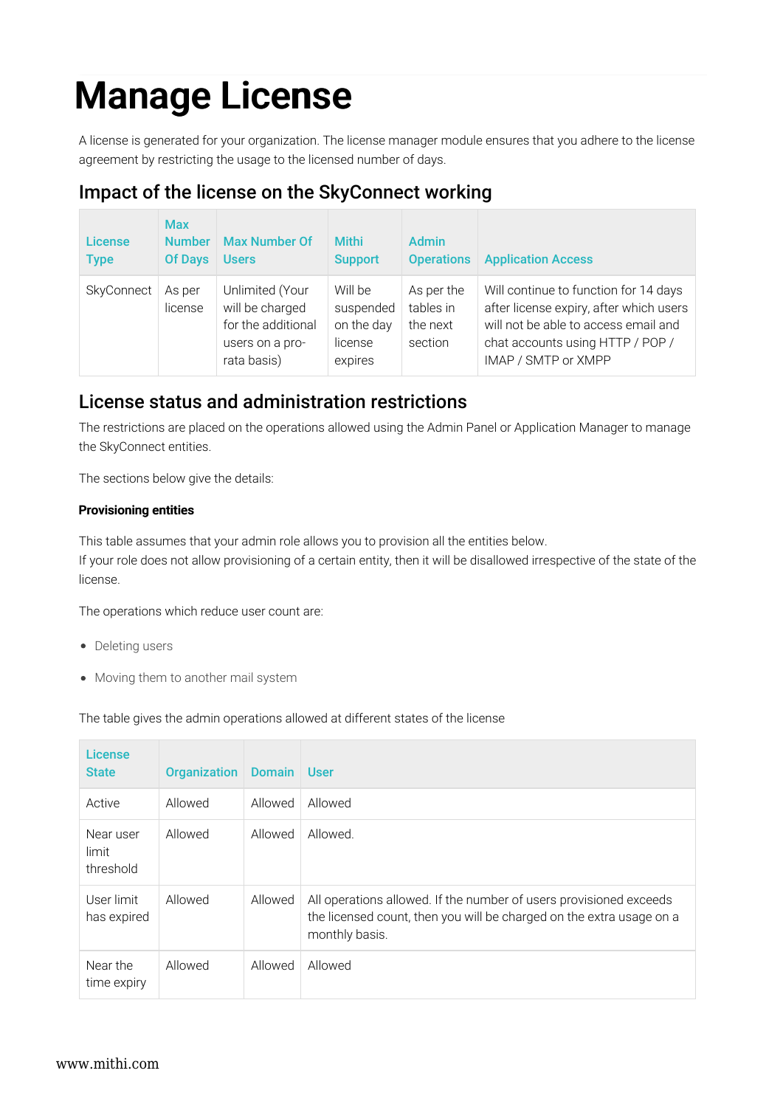# Manage License

A license is generated for your organization. The license manager module ensures that you adhere to the license agreement by restricting the usage to the licensed number of days.

# Impact of the license on the SkyConnect working

| <b>License</b><br><b>Type</b> | <b>Max</b><br><b>Number</b><br><b>Of Days</b> | <b>Max Number Of</b><br><b>Users</b>                                                       | <b>Mithi</b><br><b>Support</b>                           | <b>Admin</b><br><b>Operations</b>              | <b>Application Access</b>                                                                                                                                                           |
|-------------------------------|-----------------------------------------------|--------------------------------------------------------------------------------------------|----------------------------------------------------------|------------------------------------------------|-------------------------------------------------------------------------------------------------------------------------------------------------------------------------------------|
| SkyConnect                    | As per<br>license                             | Unlimited (Your<br>will be charged<br>for the additional<br>users on a pro-<br>rata basis) | Will be<br>suspended<br>on the day<br>license<br>expires | As per the<br>tables in<br>the next<br>section | Will continue to function for 14 days<br>after license expiry, after which users<br>will not be able to access email and<br>chat accounts using HTTP / POP /<br>IMAP / SMTP or XMPP |

## License status and administration restrictions

The restrictions are placed on the operations allowed using the Admin Panel or Application Manager to manage the SkyConnect entities.

The sections below give the details:

## Provisioning entities

This table assumes that your admin role allows you to provision all the entities below. If your role does not allow provisioning of a certain entity, then it will be disallowed irrespective of the state of the license.

The operations which reduce user count are:

- Deleting users
- Moving them to another mail system

The table gives the admin operations allowed at different states of the license

| <b>License</b><br><b>State</b>  | <b>Organization</b> | <b>Domain</b> | <b>User</b>                                                                                                                                                  |
|---------------------------------|---------------------|---------------|--------------------------------------------------------------------------------------------------------------------------------------------------------------|
| Active                          | Allowed             | Allowed       | Allowed                                                                                                                                                      |
| Near user<br>limit<br>threshold | Allowed             | Allowed       | Allowed.                                                                                                                                                     |
| User limit<br>has expired       | Allowed             | Allowed       | All operations allowed. If the number of users provisioned exceeds<br>the licensed count, then you will be charged on the extra usage on a<br>monthly basis. |
| Near the<br>time expiry         | Allowed             | Allowed       | Allowed                                                                                                                                                      |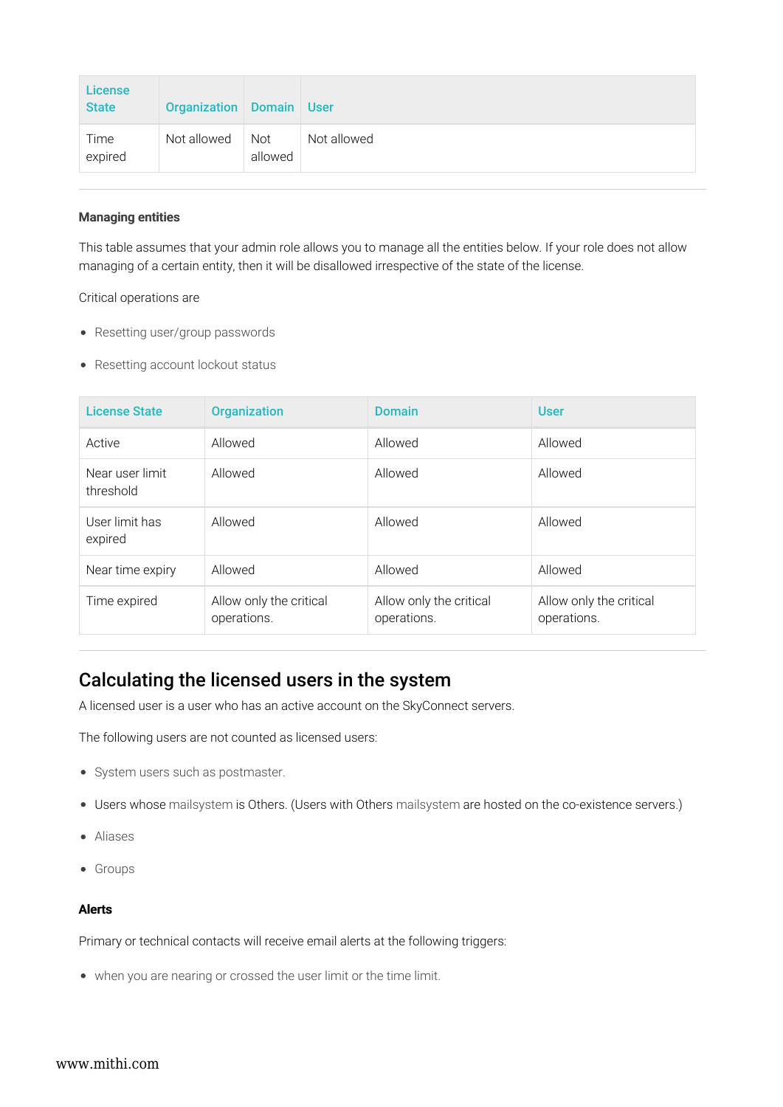| <b>License</b><br><b>State</b> | <b>Organization</b> Domain |                       | ∣User       |
|--------------------------------|----------------------------|-----------------------|-------------|
| Time<br>expired                | Not allowed                | <b>Not</b><br>allowed | Not allowed |

### Managing entities

This table assumes that your admin role allows you to manage all the entities below. If your role does not allow managing of a certain entity, then it will be disallowed irrespective of the state of the license.

#### Critical operations are

- Resetting user/group passwords
- Resetting account lockout status

| <b>License State</b>         | <b>Organization</b>                    | <b>Domain</b>                          | <b>User</b>                            |
|------------------------------|----------------------------------------|----------------------------------------|----------------------------------------|
| Active                       | Allowed                                | Allowed                                | Allowed                                |
| Near user limit<br>threshold | Allowed                                | Allowed                                | Allowed                                |
| User limit has<br>expired    | Allowed                                | Allowed                                | Allowed                                |
| Near time expiry             | Allowed                                | Allowed                                | Allowed                                |
| Time expired                 | Allow only the critical<br>operations. | Allow only the critical<br>operations. | Allow only the critical<br>operations. |

## Calculating the licensed users in the system

A licensed user is a user who has an active account on the SkyConnect servers.

The following users are not counted as licensed users:

- System users such as postmaster.
- Users whose mailsystem is Others. (Users with Others mailsystem are hosted on the co-existence servers.)
- Aliases
- Groups

#### Alerts

Primary or technical contacts will receive email alerts at the following triggers:

when you are nearing or crossed the user limit or the time limit.